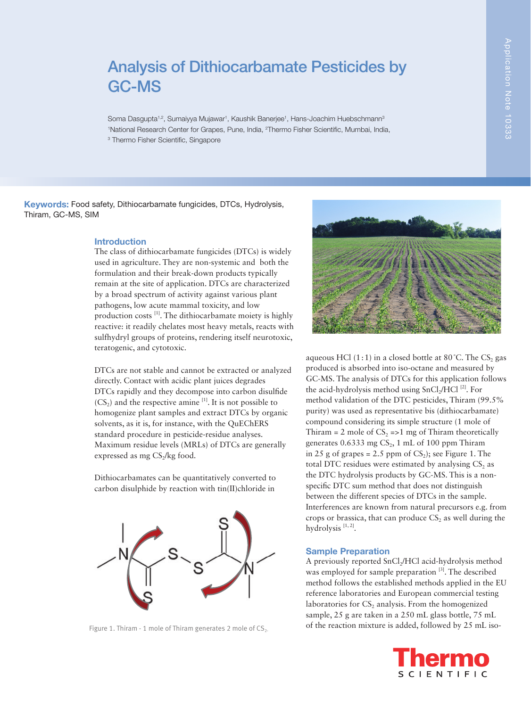# Analysis of Dithiocarbamate Pesticides by GC-MS

Soma Dasgupta<sup>1,2</sup>, Sumaiyya Mujawar<sup>1</sup>, Kaushik Banerjee<sup>1</sup>, Hans-Joachim Huebschmann<sup>3</sup> <sup>1</sup>National Research Center for Grapes, Pune, India, <sup>2</sup>Thermo Fisher Scientific, Mumbai, India, 3 Thermo Fisher Scientific, Singapore

Keywords: Food safety, Dithiocarbamate fungicides, DTCs, Hydrolysis, Thiram, GC-MS, SIM

#### Introduction

The class of dithiocarbamate fungicides (DTCs) is widely used in agriculture. They are non-systemic and both the formulation and their break-down products typically remain at the site of application. DTCs are characterized by a broad spectrum of activity against various plant pathogens, low acute mammal toxicity, and low production costs [1]. The dithiocarbamate moiety is highly reactive: it readily chelates most heavy metals, reacts with sulfhydryl groups of proteins, rendering itself neurotoxic, teratogenic, and cytotoxic.

DTCs are not stable and cannot be extracted or analyzed directly. Contact with acidic plant juices degrades DTCs rapidly and they decompose into carbon disulfide  $(CS_2)$  and the respective amine  $[1]$ . It is not possible to homogenize plant samples and extract DTCs by organic solvents, as it is, for instance, with the QuEChERS standard procedure in pesticide-residue analyses. Maximum residue levels (MRLs) of DTCs are generally expressed as mg  $CS<sub>2</sub>/kg$  food.

Dithiocarbamates can be quantitatively converted to carbon disulphide by reaction with tin(II)chloride in



Figure 1. Thiram - 1 mole of Thiram generates 2 mole of  $CS<sub>2</sub>$ .



aqueous HCl  $(1:1)$  in a closed bottle at 80 $^{\circ}$ C. The CS<sub>2</sub> gas produced is absorbed into iso-octane and measured by GC-MS. The analysis of DTCs for this application follows the acid-hydrolysis method using  $SnCl<sub>2</sub>/HCl$ <sup>[2]</sup>. For method validation of the DTC pesticides, Thiram (99.5% purity) was used as representative bis (dithiocarbamate) compound considering its simple structure (1 mole of Thiram = 2 mole of  $CS_2$  =>1 mg of Thiram theoretically generates  $0.6333$  mg  $CS_2$ , 1 mL of 100 ppm Thiram in 25 g of grapes = 2.5 ppm of  $CS_2$ ); see Figure 1. The total DTC residues were estimated by analysing  $CS<sub>2</sub>$  as the DTC hydrolysis products by GC-MS. This is a nonspecific DTC sum method that does not distinguish between the different species of DTCs in the sample. Interferences are known from natural precursors e.g. from crops or brassica, that can produce  $CS_2$  as well during the hydrolysis  $[1, 2]$ .

## Sample Preparation

A previously reported SnCl<sub>2</sub>/HCl acid-hydrolysis method was employed for sample preparation<sup>[3]</sup>. The described method follows the established methods applied in the EU reference laboratories and European commercial testing laboratories for  $CS_2$  analysis. From the homogenized sample, 25 g are taken in a 250 mL glass bottle, 75 mL of the reaction mixture is added, followed by 25 mL iso-

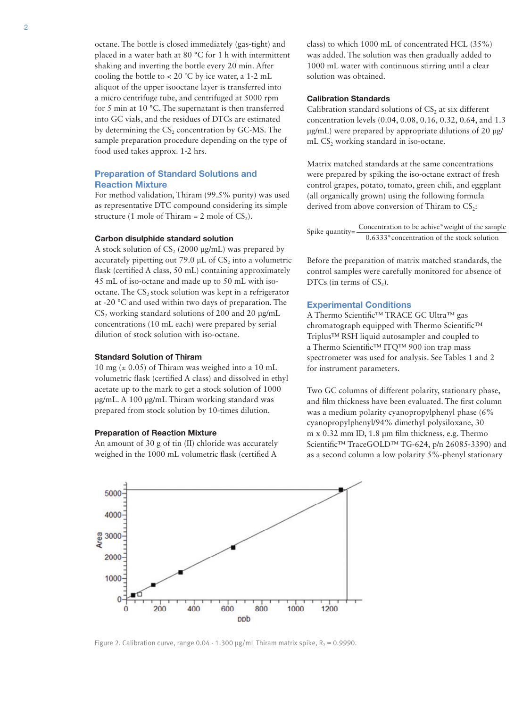octane. The bottle is closed immediately (gas-tight) and placed in a water bath at 80 °C for 1 h with intermittent shaking and inverting the bottle every 20 min. After cooling the bottle to < 20 °C by ice water, a 1-2 mL aliquot of the upper isooctane layer is transferred into a micro centrifuge tube, and centrifuged at 5000 rpm for 5 min at 10 °C. The supernatant is then transferred into GC vials, and the residues of DTCs are estimated by determining the  $CS_2$  concentration by GC-MS. The sample preparation procedure depending on the type of food used takes approx. 1-2 hrs.

# Preparation of Standard Solutions and Reaction Mixture

For method validation, Thiram (99.5% purity) was used as representative DTC compound considering its simple structure (1 mole of Thiram = 2 mole of  $CS_2$ ).

#### Carbon disulphide standard solution

A stock solution of  $CS$ , (2000  $\mu$ g/mL) was prepared by accurately pipetting out 79.0  $\mu$ L of CS<sub>2</sub> into a volumetric flask (certified A class, 50 mL) containing approximately 45 mL of iso-octane and made up to 50 mL with isooctane. The  $CS<sub>2</sub>$  stock solution was kept in a refrigerator at -20 °C and used within two days of preparation. The  $CS$ , working standard solutions of 200 and 20  $\mu$ g/mL concentrations (10 mL each) were prepared by serial dilution of stock solution with iso-octane.

#### Standard Solution of Thiram

10 mg ( $\pm$  0.05) of Thiram was weighed into a 10 mL volumetric flask (certified A class) and dissolved in ethyl acetate up to the mark to get a stock solution of 1000 µg/mL. A 100 µg/mL Thiram working standard was prepared from stock solution by 10-times dilution.

#### Preparation of Reaction Mixture

An amount of 30 g of tin (II) chloride was accurately weighed in the 1000 mL volumetric flask (certified A

class) to which 1000 mL of concentrated HCL (35%) was added. The solution was then gradually added to 1000 mL water with continuous stirring until a clear solution was obtained.

#### Calibration Standards

Calibration standard solutions of  $CS<sub>2</sub>$  at six different concentration levels (0.04, 0.08, 0.16, 0.32, 0.64, and 1.3 µg/mL) were prepared by appropriate dilutions of 20 µg/ mL  $CS_2$  working standard in iso-octane.

Matrix matched standards at the same concentrations were prepared by spiking the iso-octane extract of fresh control grapes, potato, tomato, green chili, and eggplant (all organically grown) using the following formula derived from above conversion of Thiram to  $CS<sub>2</sub>$ :

Spike quantity=  $\frac{\text{Concentration to be achieve *weight of the sample}}{0.6333 * \text{concentration of the stock solution}}$ 

Before the preparation of matrix matched standards, the control samples were carefully monitored for absence of DTCs (in terms of  $CS<sub>2</sub>$ ).

## Experimental Conditions

A Thermo Scientific™ TRACE GC Ultra™ gas chromatograph equipped with Thermo Scientific™ Triplus™ RSH liquid autosampler and coupled to a Thermo Scientific™ ITQ™ 900 ion trap mass spectrometer was used for analysis. See Tables 1 and 2 for instrument parameters.

Two GC columns of different polarity, stationary phase, and film thickness have been evaluated. The first column was a medium polarity cyanopropylphenyl phase (6% cyanopropylphenyl/94% dimethyl polysiloxane, 30 m x 0.32 mm ID, 1.8 µm film thickness, e.g. Thermo Scientific™ TraceGOLD™ TG-624, p/n 26085-3390) and as a second column a low polarity 5%-phenyl stationary



Figure 2. Calibration curve, range 0.04 - 1.300  $\mu$ g/mL Thiram matrix spike, R<sub>2</sub> = 0.9990.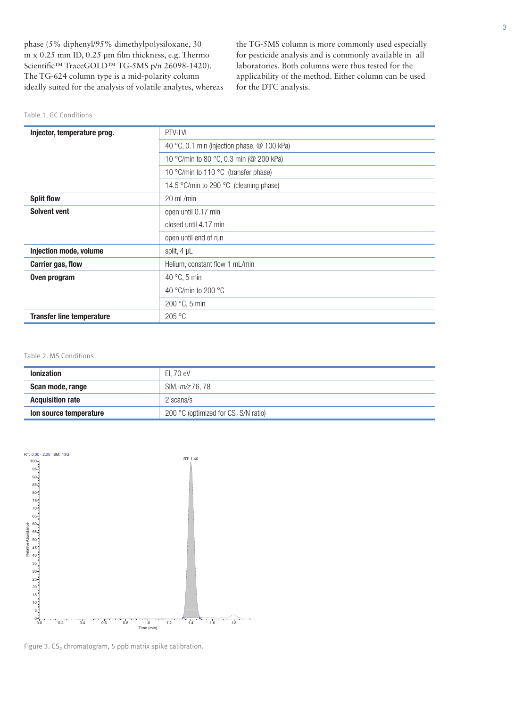phase (5% diphenyl/95% dimethylpolysiloxane, 30 m x 0.25 mm ID, 0.25 µm film thickness, e.g. Thermo Scientific™ TraceGOLD™ TG-5MS p/n 26098-1420). The TG-624 column type is a mid-polarity column ideally suited for the analysis of volatile analytes, whereas

the TG-5MS column is more commonly used especially for pesticide analysis and is commonly available in all laboratories. Both columns were thus tested for the applicability of the method. Either column can be used for the DTC analysis.

| Table 1. GC Conditions |  |  |  |  |  |  |
|------------------------|--|--|--|--|--|--|
|------------------------|--|--|--|--|--|--|

| Injector, temperature prog.      | PTV-LVI                                     |  |
|----------------------------------|---------------------------------------------|--|
|                                  | 40 °C, 0.1 min (injection phase, @ 100 kPa) |  |
|                                  | 10 °C/min to 80 °C, 0.3 min (@ 200 kPa)     |  |
|                                  | 10 °C/min to 110 °C (transfer phase)        |  |
|                                  | 14.5 °C/min to 290 °C (cleaning phase)      |  |
| <b>Split flow</b>                | 20 mL/min                                   |  |
| <b>Solvent vent</b>              | open until 0.17 min                         |  |
|                                  | closed until 4.17 min                       |  |
|                                  | open until end of run                       |  |
| Injection mode, volume           | split, $4 \mu L$                            |  |
| Carrier gas, flow                | Helium, constant flow 1 mL/min              |  |
| Oven program                     | 40 $\degree$ C, 5 min                       |  |
|                                  | 40 °C/min to 200 °C                         |  |
|                                  | 200 °C, 5 min                               |  |
| <b>Transfer line temperature</b> | 205 °C                                      |  |

Table 2. MS Conditions

| <b>Ionization</b>       | El. 70 eV                               |
|-------------------------|-----------------------------------------|
| Scan mode, range        | SIM, m/z 76, 78                         |
| <b>Acquisition rate</b> | 2 scans/s                               |
| Ion source temperature  | 200 °C (optimized for $CS$ , S/N ratio) |



Figure 3.  $CS_2$  chromatogram, 5 ppb matrix spike calibration.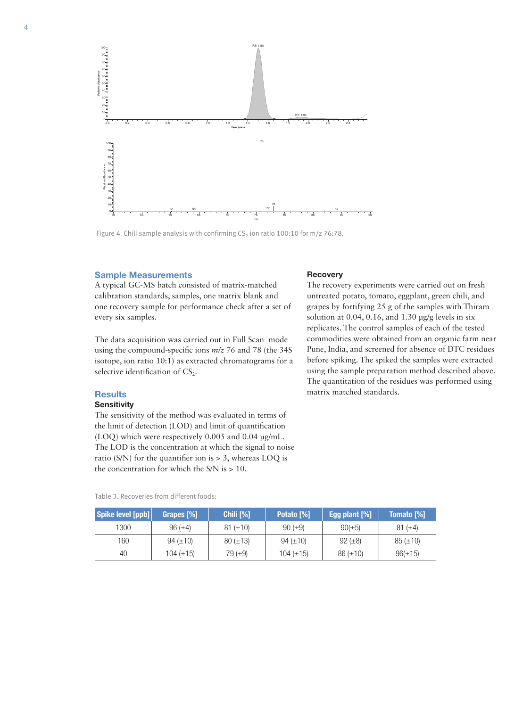

Figure 4. Chili sample analysis with confirming  $CS<sub>2</sub>$  ion ratio 100:10 for m/z 76:78.

#### Sample Measurements

A typical GC-MS batch consisted of matrix-matched calibration standards, samples, one matrix blank and one recovery sample for performance check after a set of every six samples.

The data acquisition was carried out in Full Scan mode using the compound-specific ions *m/z* 76 and 78 (the 34S isotope, ion ratio 10:1) as extracted chromatograms for a selective identification of  $CS_2$ .

# **Results**

## **Sensitivity**

The sensitivity of the method was evaluated in terms of the limit of detection (LOD) and limit of quantification (LOQ) which were respectively 0.005 and 0.04 µg/mL. The LOD is the concentration at which the signal to noise ratio (S/N) for the quantifier ion is > 3, whereas LOQ is the concentration for which the S/N is > 10.

|  |  | Table 3. Recoveries from different foods: |  |
|--|--|-------------------------------------------|--|
|--|--|-------------------------------------------|--|

## **Recovery**

The recovery experiments were carried out on fresh untreated potato, tomato, eggplant, green chili, and grapes by fortifying 25 g of the samples with Thiram solution at 0.04, 0.16, and 1.30  $\mu$ g/g levels in six replicates. The control samples of each of the tested commodities were obtained from an organic farm near Pune, India, and screened for absence of DTC residues before spiking. The spiked the samples were extracted using the sample preparation method described above. The quantitation of the residues was performed using matrix matched standards.

| Spike level [ppb] | Grapes [%]     | Chili [%]     | Potato [%]     | Egg plant [%] | <b>Tomato</b> [%] |
|-------------------|----------------|---------------|----------------|---------------|-------------------|
| 1300              | $96 (\pm 4)$   | $81 (\pm 10)$ | $90 (\pm 9)$   | $90(\pm 5)$   | 81 ( $\pm$ 4)     |
| 160               | $94 (\pm 10)$  | $80 (\pm 13)$ | 94 $(\pm 10)$  | $92 (\pm 8)$  | $85 (\pm 10)$     |
| 40                | 104 $(\pm 15)$ | 79 $(\pm 9)$  | 104 $(\pm 15)$ | $86 (\pm 10)$ | $96(\pm 15)$      |